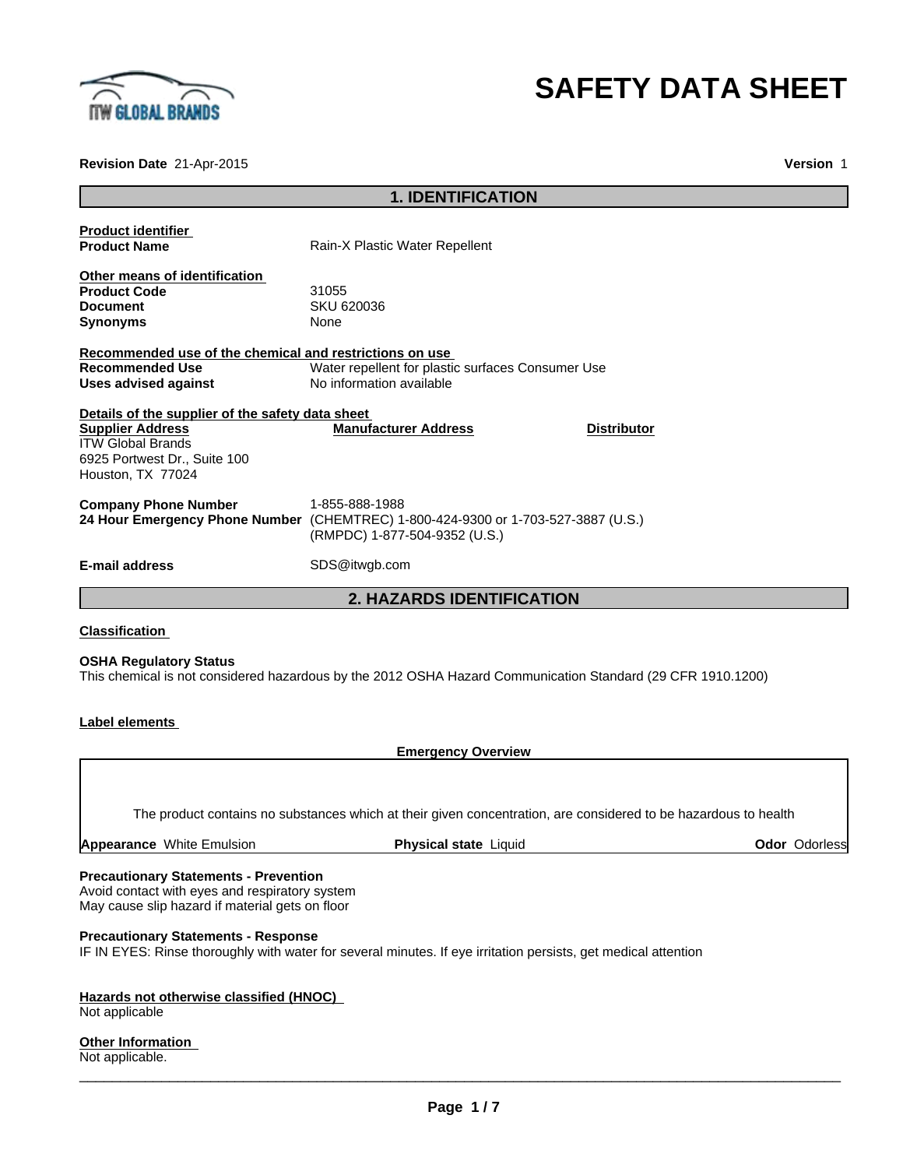

# **SAFETY DATA SHEET**

**Revision Date** 21-Apr-2015

**Version** 1

|                                                         | <b>1. IDENTIFICATION</b>                                                          |
|---------------------------------------------------------|-----------------------------------------------------------------------------------|
|                                                         |                                                                                   |
| <b>Product identifier</b><br><b>Product Name</b>        | Rain-X Plastic Water Repellent                                                    |
| Other means of identification                           |                                                                                   |
| <b>Product Code</b>                                     | 31055                                                                             |
| <b>Document</b>                                         | SKU 620036                                                                        |
| <b>Synonyms</b>                                         | None                                                                              |
| Recommended use of the chemical and restrictions on use |                                                                                   |
| <b>Recommended Use</b>                                  | Water repellent for plastic surfaces Consumer Use                                 |
| Uses advised against                                    | No information available                                                          |
| Details of the supplier of the safety data sheet        |                                                                                   |
| <b>Supplier Address</b>                                 | <b>Manufacturer Address</b><br><b>Distributor</b>                                 |
| <b>ITW Global Brands</b>                                |                                                                                   |
| 6925 Portwest Dr., Suite 100                            |                                                                                   |
| Houston, TX 77024                                       |                                                                                   |
| <b>Company Phone Number</b>                             | 1-855-888-1988                                                                    |
|                                                         | 24 Hour Emergency Phone Number (CHEMTREC) 1-800-424-9300 or 1-703-527-3887 (U.S.) |
|                                                         | (RMPDC) 1-877-504-9352 (U.S.)                                                     |
| <b>E-mail address</b>                                   | SDS@itwgb.com                                                                     |
|                                                         | <b>2. HAZARDS IDENTIFICATION</b>                                                  |
|                                                         |                                                                                   |

## **Classification**

#### **OSHA Regulatory Status**

This chemical is not considered hazardous by the 2012 OSHA Hazard Communication Standard (29 CFR 1910.1200)

# **Label elements**

**Emergency Overview**

The product contains no substances which at their given concentration, are considered to be hazardous to health

| <b>White Emulsion</b><br>Appearance<br><b>Physical state</b><br>∟iauid | Odor<br>Odorlessi |
|------------------------------------------------------------------------|-------------------|
|------------------------------------------------------------------------|-------------------|

#### **Precautionary Statements - Prevention**

Avoid contact with eyes and respiratory system May cause slip hazard if material gets on floor

#### **Precautionary Statements - Response**

IF IN EYES: Rinse thoroughly with water for several minutes. If eye irritation persists, get medical attention

# **Hazards not otherwise classified (HNOC)**

Not applicable

# **Other Information**

Not applicable.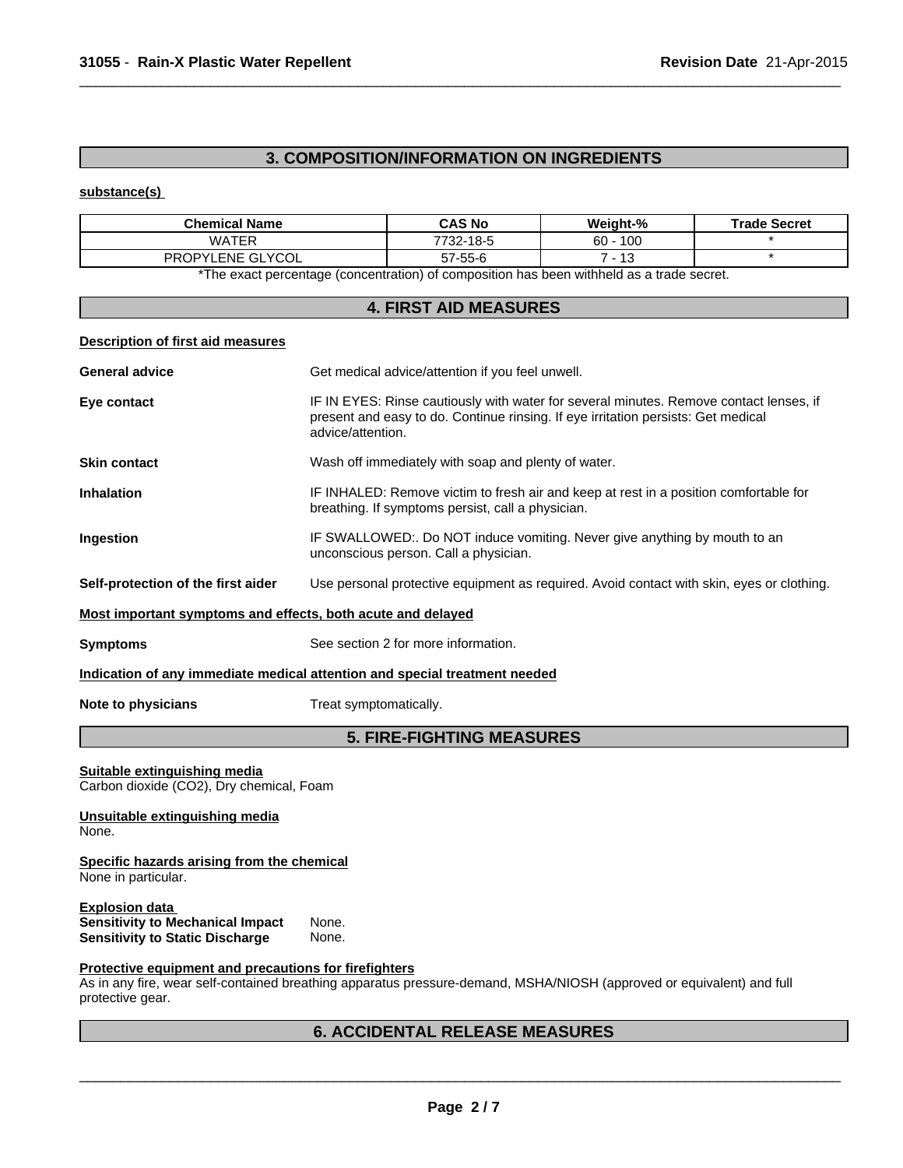# **3. COMPOSITION/INFORMATION ON INGREDIENTS**

 $\overline{\phantom{a}}$  ,  $\overline{\phantom{a}}$  ,  $\overline{\phantom{a}}$  ,  $\overline{\phantom{a}}$  ,  $\overline{\phantom{a}}$  ,  $\overline{\phantom{a}}$  ,  $\overline{\phantom{a}}$  ,  $\overline{\phantom{a}}$  ,  $\overline{\phantom{a}}$  ,  $\overline{\phantom{a}}$  ,  $\overline{\phantom{a}}$  ,  $\overline{\phantom{a}}$  ,  $\overline{\phantom{a}}$  ,  $\overline{\phantom{a}}$  ,  $\overline{\phantom{a}}$  ,  $\overline{\phantom{a}}$ 

# **substance(s)**

| <b>Chemical Name</b>        | <b>CAS No</b> | Weight-%        | <b>Trade Secret</b> |
|-----------------------------|---------------|-----------------|---------------------|
| WATFR                       | 7732-18-5     | 60 -<br>100     |                     |
| LENE GLYCOL<br><b>PROPY</b> | 57-55-6       | $\Lambda$<br>د١ |                     |

\*The exact percentage (concentration) of composition has been withheld as a trade secret.

# **4. FIRST AID MEASURES**

## **Description of first aid measures**

| <b>General advice</b>                                                    | Get medical advice/attention if you feel unwell.                                                                                                                                                 |
|--------------------------------------------------------------------------|--------------------------------------------------------------------------------------------------------------------------------------------------------------------------------------------------|
| Eye contact                                                              | IF IN EYES: Rinse cautiously with water for several minutes. Remove contact lenses, if<br>present and easy to do. Continue rinsing. If eye irritation persists: Get medical<br>advice/attention. |
| <b>Skin contact</b>                                                      | Wash off immediately with soap and plenty of water.                                                                                                                                              |
| <b>Inhalation</b>                                                        | IF INHALED: Remove victim to fresh air and keep at rest in a position comfortable for<br>breathing. If symptoms persist, call a physician.                                                       |
| Ingestion                                                                | IF SWALLOWED:. Do NOT induce vomiting. Never give anything by mouth to an<br>unconscious person. Call a physician.                                                                               |
| Self-protection of the first aider                                       | Use personal protective equipment as required. Avoid contact with skin, eyes or clothing.                                                                                                        |
| Most important symptoms and effects, both acute and delayed              |                                                                                                                                                                                                  |
| <b>Symptoms</b>                                                          | See section 2 for more information.                                                                                                                                                              |
|                                                                          | Indication of any immediate medical attention and special treatment needed                                                                                                                       |
| Note to physicians                                                       | Treat symptomatically.                                                                                                                                                                           |
|                                                                          | <b>5. FIRE-FIGHTING MEASURES</b>                                                                                                                                                                 |
| Suitable extinguishing media<br>Carbon dioxide (CO2), Dry chemical, Foam |                                                                                                                                                                                                  |
| Unsuitable extinguishing media<br>None.                                  |                                                                                                                                                                                                  |
| Specific hazards arising from the chemical<br>None in particular.        |                                                                                                                                                                                                  |
| <b>Explosion data</b><br><b>Sensitivity to Mechanical Impact</b>         |                                                                                                                                                                                                  |

# **Protective equipment and precautions for firefighters**

As in any fire, wear self-contained breathing apparatus pressure-demand, MSHA/NIOSH (approved or equivalent) and full protective gear.

# **6. ACCIDENTAL RELEASE MEASURES**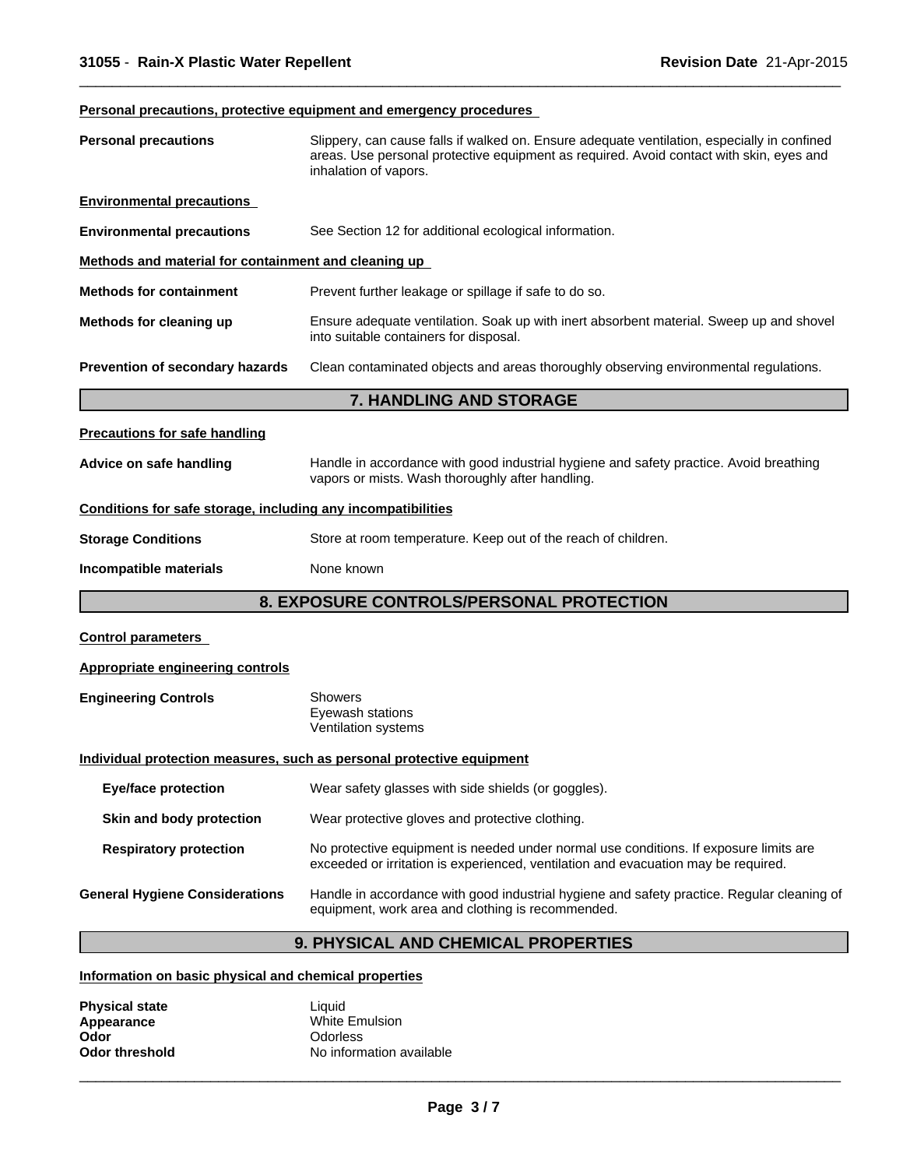# **Personal precautions, protective equipment and emergency procedures**

| <b>Personal precautions</b>                                  | Slippery, can cause falls if walked on. Ensure adequate ventilation, especially in confined<br>areas. Use personal protective equipment as required. Avoid contact with skin, eyes and<br>inhalation of vapors. |
|--------------------------------------------------------------|-----------------------------------------------------------------------------------------------------------------------------------------------------------------------------------------------------------------|
| <b>Environmental precautions</b>                             |                                                                                                                                                                                                                 |
| <b>Environmental precautions</b>                             | See Section 12 for additional ecological information.                                                                                                                                                           |
| Methods and material for containment and cleaning up         |                                                                                                                                                                                                                 |
| <b>Methods for containment</b>                               | Prevent further leakage or spillage if safe to do so.                                                                                                                                                           |
| Methods for cleaning up                                      | Ensure adequate ventilation. Soak up with inert absorbent material. Sweep up and shovel<br>into suitable containers for disposal.                                                                               |
| Prevention of secondary hazards                              | Clean contaminated objects and areas thoroughly observing environmental regulations.                                                                                                                            |
|                                                              | <b>7. HANDLING AND STORAGE</b>                                                                                                                                                                                  |
| <b>Precautions for safe handling</b>                         |                                                                                                                                                                                                                 |
| Advice on safe handling                                      | Handle in accordance with good industrial hygiene and safety practice. Avoid breathing<br>vapors or mists. Wash thoroughly after handling.                                                                      |
| Conditions for safe storage, including any incompatibilities |                                                                                                                                                                                                                 |
| <b>Storage Conditions</b>                                    | Store at room temperature. Keep out of the reach of children.                                                                                                                                                   |
| Incompatible materials                                       | None known                                                                                                                                                                                                      |
|                                                              | 8. EXPOSURE CONTROLS/PERSONAL PROTECTION                                                                                                                                                                        |
| <b>Control parameters</b>                                    |                                                                                                                                                                                                                 |
| <b>Appropriate engineering controls</b>                      |                                                                                                                                                                                                                 |
| <b>Engineering Controls</b>                                  | <b>Showers</b><br>Eyewash stations<br>Ventilation systems                                                                                                                                                       |
|                                                              | Individual protection measures, such as personal protective equipment                                                                                                                                           |
| <b>Eye/face protection</b>                                   | Wear safety glasses with side shields (or goggles).                                                                                                                                                             |
| Skin and body protection                                     | Wear protective gloves and protective clothing.                                                                                                                                                                 |
| <b>Respiratory protection</b>                                | No protective equipment is needed under normal use conditions. If exposure limits are<br>exceeded or irritation is experienced, ventilation and evacuation may be required.                                     |
| <b>General Hygiene Considerations</b>                        | Handle in accordance with good industrial hygiene and safety practice. Regular cleaning of<br>equipment, work area and clothing is recommended.                                                                 |
|                                                              |                                                                                                                                                                                                                 |

 $\overline{\phantom{a}}$  ,  $\overline{\phantom{a}}$  ,  $\overline{\phantom{a}}$  ,  $\overline{\phantom{a}}$  ,  $\overline{\phantom{a}}$  ,  $\overline{\phantom{a}}$  ,  $\overline{\phantom{a}}$  ,  $\overline{\phantom{a}}$  ,  $\overline{\phantom{a}}$  ,  $\overline{\phantom{a}}$  ,  $\overline{\phantom{a}}$  ,  $\overline{\phantom{a}}$  ,  $\overline{\phantom{a}}$  ,  $\overline{\phantom{a}}$  ,  $\overline{\phantom{a}}$  ,  $\overline{\phantom{a}}$ 

# **9. PHYSICAL AND CHEMICAL PROPERTIES**

# **Information on basic physical and chemical properties**

| <b>Physical state</b> | Liauid                   |
|-----------------------|--------------------------|
| Appearance            | White Emulsion           |
| Odor                  | Odorless                 |
| Odor threshold        | No information available |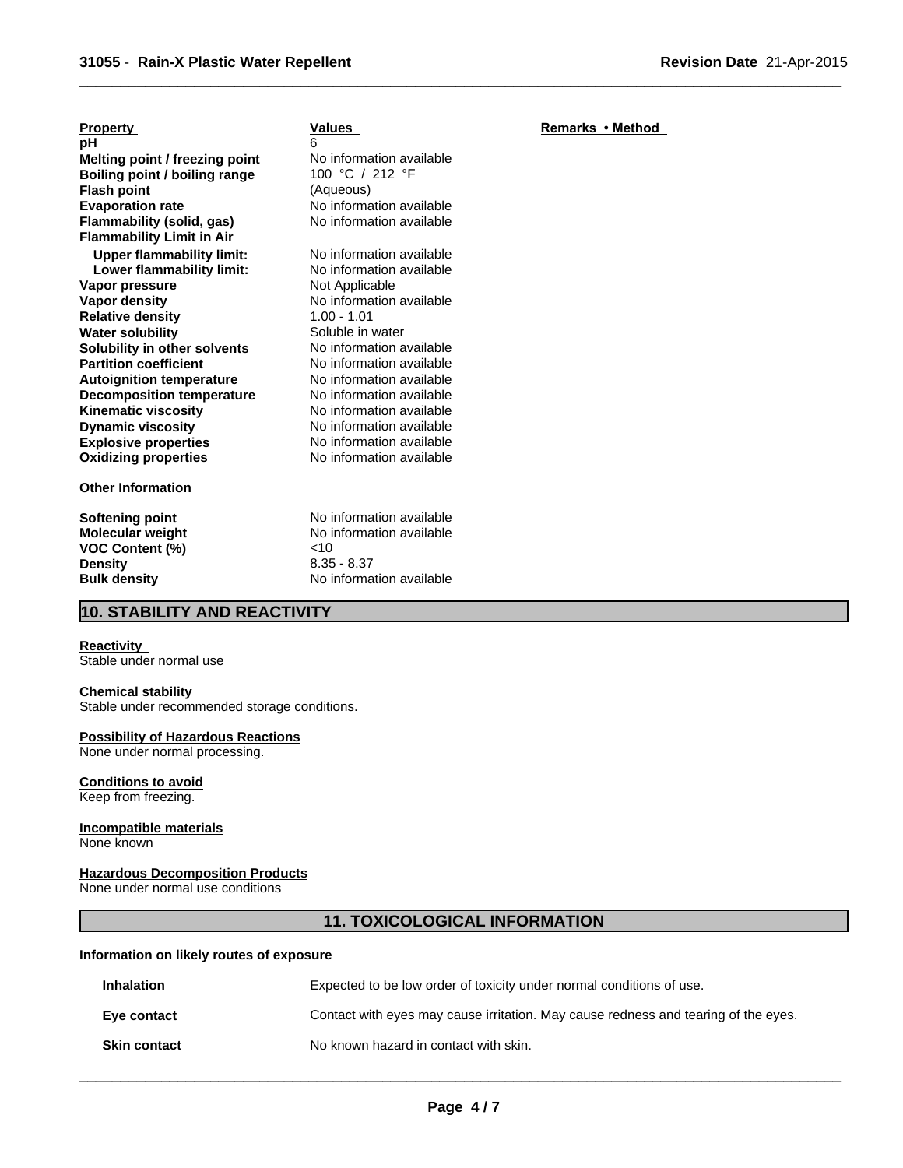# **Property**

**Explosive properties**<br> **Oxidizing properties**<br>
No information available **Oxidizing properties Flammability (solid, gas)** No information available **Dynamic viscosity** No information available **Flammability Limit in Air Melting point / freezing point** No information available<br> **Boiling point / boiling range** 100 °C / 212 °F **Upper flammability limit:** No information available<br> **Lower flammability limit:** No information available **Lower flammability limit:** No information<br>**apor pressure Not Applicable Vapor pressure<br>Vapor density Boiling point / boiling range Relative density** 1.00 - 1.01<br> **Water solubility** Soluble in water **Flash point Water solubility Soluble in water Solubility in other solvents** Soluble in water **Solubility in other solvents** No information available<br> **Partition coefficient** No information available **pH Partition coefficient Autoignition temperature** No information available **Decomposition temperature** No information available **Kinematic viscosity**

#### **Other Information**

**VOC Content (%)** <10 **Density** 8.35 - 8.37

# **Values**

No information available **No information available**<br>1.00 - 1.01 (Aqueous) 6 **No information available** 

**Softening point** No information available **Molecular weight** No information available **Bulk density** No information available

# **10. STABILITY AND REACTIVITY**

#### **Reactivity**

Stable under normal use

#### **Chemical stability**

Stable under recommended storage conditions.

## **Possibility of Hazardous Reactions**

None under normal processing.

## **Conditions to avoid**

Keep from freezing.

# **Incompatible materials**

None known

# **Hazardous Decomposition Products**

None under normal use conditions

# **11. TOXICOLOGICAL INFORMATION**

## **Information on likely routes of exposure**

| <b>Inhalation</b>   | Expected to be low order of toxicity under normal conditions of use.               |
|---------------------|------------------------------------------------------------------------------------|
| Eye contact         | Contact with eyes may cause irritation. May cause redness and tearing of the eyes. |
| <b>Skin contact</b> | No known hazard in contact with skin.                                              |

 $\overline{\phantom{a}}$  ,  $\overline{\phantom{a}}$  ,  $\overline{\phantom{a}}$  ,  $\overline{\phantom{a}}$  ,  $\overline{\phantom{a}}$  ,  $\overline{\phantom{a}}$  ,  $\overline{\phantom{a}}$  ,  $\overline{\phantom{a}}$  ,  $\overline{\phantom{a}}$  ,  $\overline{\phantom{a}}$  ,  $\overline{\phantom{a}}$  ,  $\overline{\phantom{a}}$  ,  $\overline{\phantom{a}}$  ,  $\overline{\phantom{a}}$  ,  $\overline{\phantom{a}}$  ,  $\overline{\phantom{a}}$ 

# **Remarks•Method**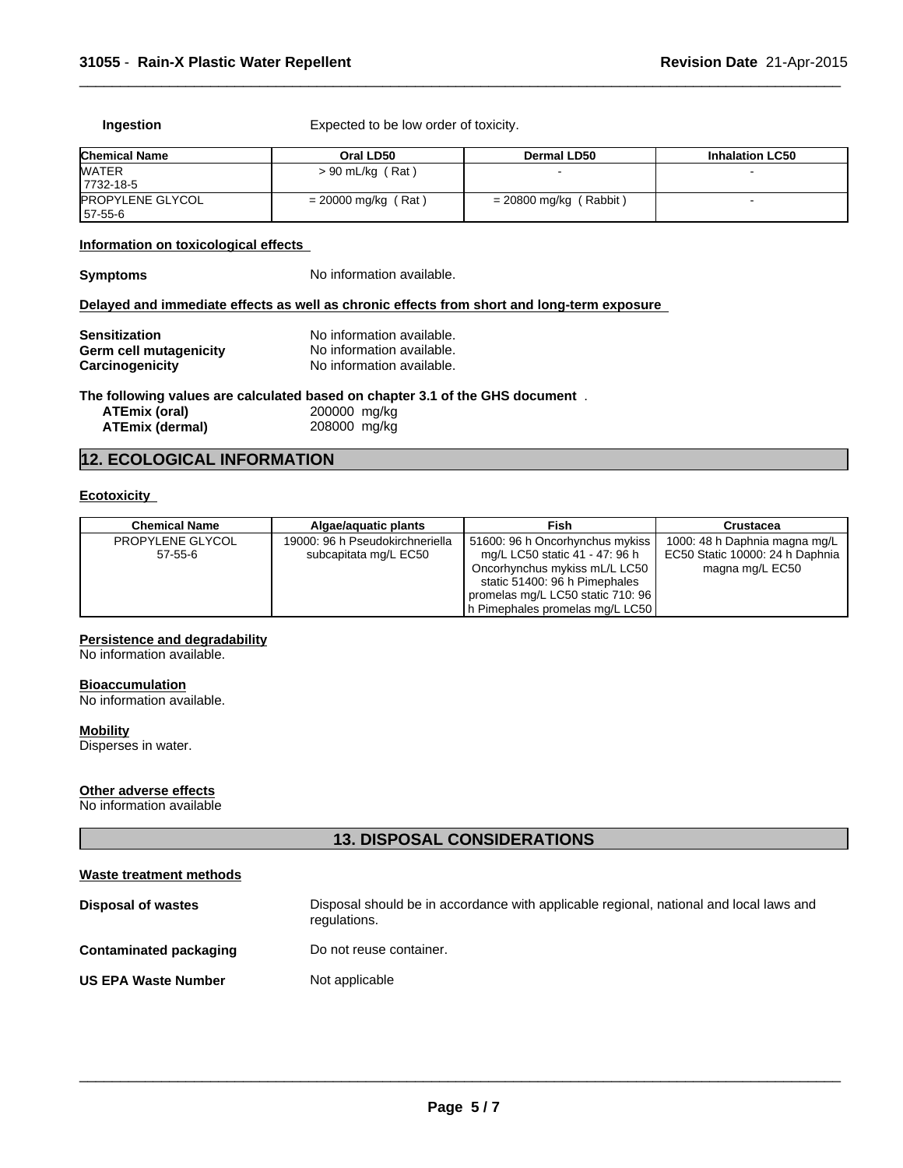**Ingestion** Expected to be low order of toxicity.

| <b>Chemical Name</b>               | Oral LD50             | <b>Dermal LD50</b>       | <b>Inhalation LC50</b> |
|------------------------------------|-----------------------|--------------------------|------------------------|
| <b>WATER</b><br>7732-18-5          | $> 90$ mL/kg (Rat)    |                          |                        |
| <b>PROPYLENE GLYCOL</b><br>57-55-6 | $= 20000$ mg/kg (Rat) | $= 20800$ mg/kg (Rabbit) |                        |

 $\overline{\phantom{a}}$  ,  $\overline{\phantom{a}}$  ,  $\overline{\phantom{a}}$  ,  $\overline{\phantom{a}}$  ,  $\overline{\phantom{a}}$  ,  $\overline{\phantom{a}}$  ,  $\overline{\phantom{a}}$  ,  $\overline{\phantom{a}}$  ,  $\overline{\phantom{a}}$  ,  $\overline{\phantom{a}}$  ,  $\overline{\phantom{a}}$  ,  $\overline{\phantom{a}}$  ,  $\overline{\phantom{a}}$  ,  $\overline{\phantom{a}}$  ,  $\overline{\phantom{a}}$  ,  $\overline{\phantom{a}}$ 

#### **Information on toxicological effects**

| <b>Symptoms</b> |  |
|-----------------|--|
|-----------------|--|

No information available.

### **Delayed and immediate effects as well as chronic effects from short and long-term exposure**

| <b>Sensitization</b>   | No information available. |
|------------------------|---------------------------|
| Germ cell mutagenicity | No information available. |
| Carcinogenicity        | No information available. |

#### **The following values are calculated based on chapter 3.1 of the GHS document** .

| ATEmix (oral)   | 200000 mg/kg |
|-----------------|--------------|
| ATEmix (dermal) | 208000 mg/kg |

# **12. ECOLOGICAL INFORMATION**

# **Ecotoxicity**

| <b>Chemical Name</b> | Algae/aguatic plants            | Fish                              | Crustacea                       |
|----------------------|---------------------------------|-----------------------------------|---------------------------------|
| PROPYLENE GLYCOL     | 19000: 96 h Pseudokirchneriella | 51600: 96 h Oncorhynchus mykiss   | 1000: 48 h Daphnia magna mg/L   |
| $57 - 55 - 6$        | subcapitata mg/L EC50           | mg/L LC50 static 41 - 47: 96 h    | EC50 Static 10000: 24 h Daphnia |
|                      |                                 | Oncorhynchus mykiss mL/L LC50     | magna mg/L EC50                 |
|                      |                                 | static 51400: 96 h Pimephales     |                                 |
|                      |                                 | promelas mg/L LC50 static 710: 96 |                                 |
|                      |                                 | h Pimephales promelas mg/L LC50   |                                 |

# **Persistence and degradability**

No information available.

#### **Bioaccumulation**

No information available.

# **Mobility**

Disperses in water.

#### **Other adverse effects**

No information available

# **13. DISPOSAL CONSIDERATIONS**

| Waste treatment methods       |                                                                                                        |
|-------------------------------|--------------------------------------------------------------------------------------------------------|
| <b>Disposal of wastes</b>     | Disposal should be in accordance with applicable regional, national and local laws and<br>regulations. |
| <b>Contaminated packaging</b> | Do not reuse container.                                                                                |
| <b>US EPA Waste Number</b>    | Not applicable                                                                                         |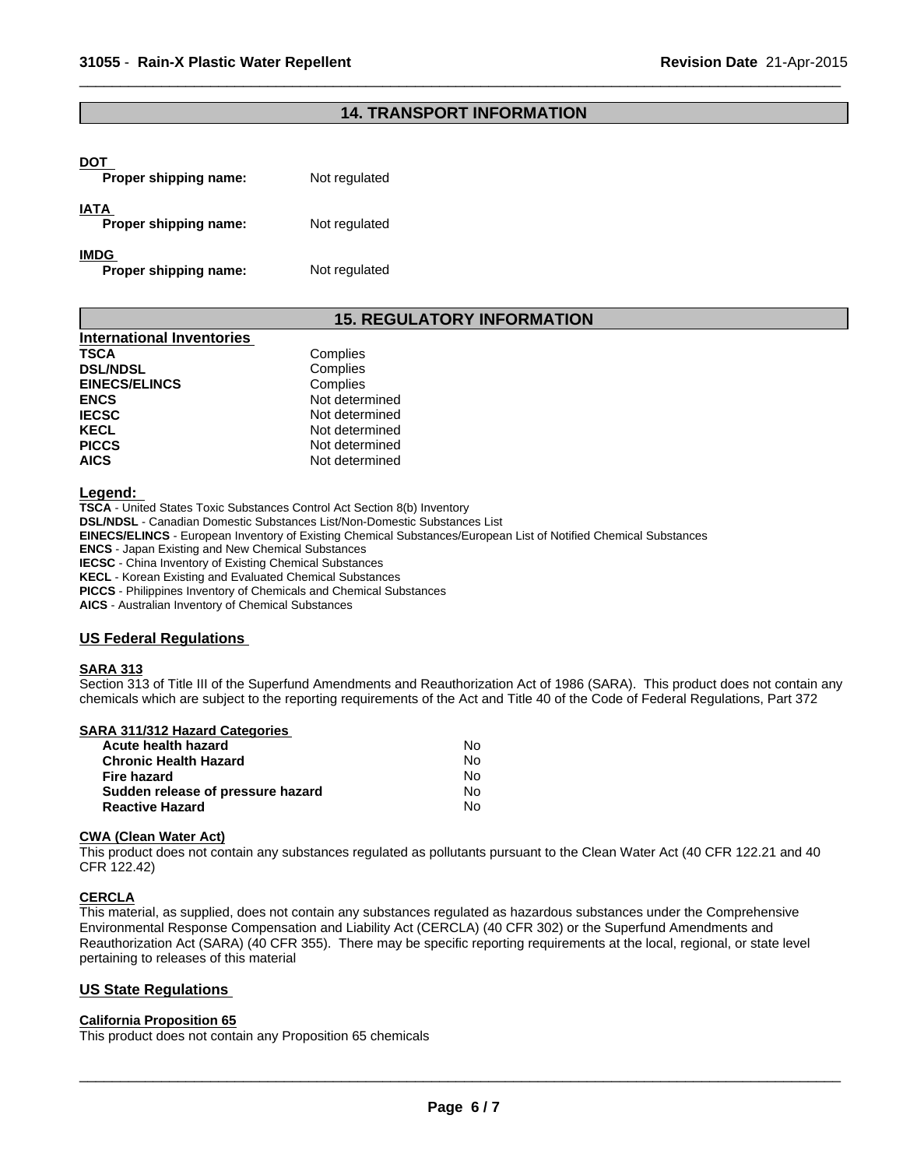# **14. TRANSPORT INFORMATION**

 $\overline{\phantom{a}}$  ,  $\overline{\phantom{a}}$  ,  $\overline{\phantom{a}}$  ,  $\overline{\phantom{a}}$  ,  $\overline{\phantom{a}}$  ,  $\overline{\phantom{a}}$  ,  $\overline{\phantom{a}}$  ,  $\overline{\phantom{a}}$  ,  $\overline{\phantom{a}}$  ,  $\overline{\phantom{a}}$  ,  $\overline{\phantom{a}}$  ,  $\overline{\phantom{a}}$  ,  $\overline{\phantom{a}}$  ,  $\overline{\phantom{a}}$  ,  $\overline{\phantom{a}}$  ,  $\overline{\phantom{a}}$ 

# **DOT**

| Proper shipping name:         | Not regulated |
|-------------------------------|---------------|
| IATA<br>Proper shipping name: | Not regulated |
| IMDG                          |               |

**Proper shipping name:** Not regulated

# **15. REGULATORY INFORMATION**

| <b>International Inventories</b> |                |
|----------------------------------|----------------|
| <b>TSCA</b>                      | Complies       |
| <b>DSL/NDSL</b>                  | Complies       |
| <b>EINECS/ELINCS</b>             | Complies       |
| <b>ENCS</b>                      | Not determined |
| <b>IECSC</b>                     | Not determined |
| <b>KECL</b>                      | Not determined |
| <b>PICCS</b>                     | Not determined |
| <b>AICS</b>                      | Not determined |

#### **Legend:**

**TSCA** - United States Toxic Substances Control Act Section 8(b) Inventory **DSL/NDSL** - Canadian Domestic Substances List/Non-Domestic Substances List **EINECS/ELINCS** - European Inventory of Existing Chemical Substances/European List of Notified Chemical Substances

**ENCS** - Japan Existing and New Chemical Substances

**IECSC** - China Inventory of Existing Chemical Substances **KECL** - Korean Existing and Evaluated Chemical Substances

**PICCS** - Philippines Inventory of Chemicals and Chemical Substances

**AICS** - Australian Inventory of Chemical Substances

# **US Federal Regulations**

#### **SARA 313**

Section 313 of Title III of the Superfund Amendments and Reauthorization Act of 1986 (SARA). This product does not contain any chemicals which are subject to the reporting requirements of the Act and Title 40 of the Code of Federal Regulations, Part 372

# **SARA 311/312 Hazard Categories**

| Acute health hazard               | No  |
|-----------------------------------|-----|
| <b>Chronic Health Hazard</b>      | N٥  |
| Fire hazard                       | No. |
| Sudden release of pressure hazard | Nο  |
| <b>Reactive Hazard</b>            | N٥  |

## **CWA (Clean Water Act)**

This product does not contain any substances regulated as pollutants pursuant to the Clean Water Act (40 CFR 122.21 and 40 CFR 122.42)

## **CERCLA**

This material, as supplied, does not contain any substances regulated as hazardous substances under the Comprehensive Environmental Response Compensation and Liability Act (CERCLA) (40 CFR 302) or the Superfund Amendments and Reauthorization Act (SARA) (40 CFR 355). There may be specific reporting requirements at the local, regional, or state level pertaining to releases of this material

# **US State Regulations**

# **California Proposition 65**

This product does not contain any Proposition 65 chemicals